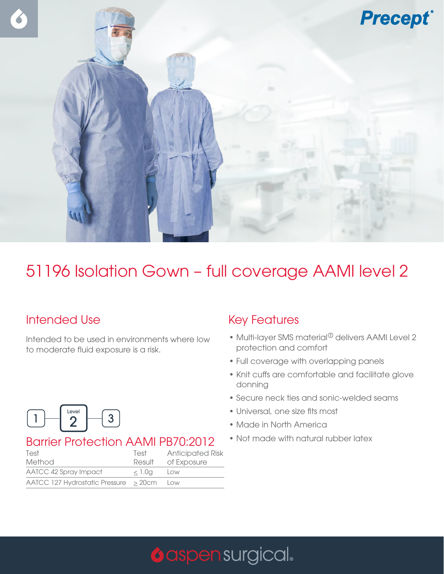

## 51196 Isolation Gown – full coverage AAMI level 2

### Intended Use

Intended to be used in environments where low to moderate fluid exposure is a risk.



#### Barrier Protection AAMI PB70:2012

| Test                                          | Test   | <b>Anticipated Risk</b> |
|-----------------------------------------------|--------|-------------------------|
| Method                                        |        | Result of Exposure      |
| AATCC 42 Spray Impact                         | < 1.0a | Low                     |
| $AATCC$ 127 Hydrostatic Pressure $>$ 20cm Low |        |                         |

#### Key Features

- Multi-layer SMS material $^{\circ}$  delivers AAMI Level 2 protection and comfort
- Full coverage with overlapping panels
- Knit cuffs are comfortable and facilitate glove donning
- Secure neck ties and sonic-welded seams
- Universal, one size fits most
- Made in North America
- Not made with natural rubber latex

# **O** aspen surgical.